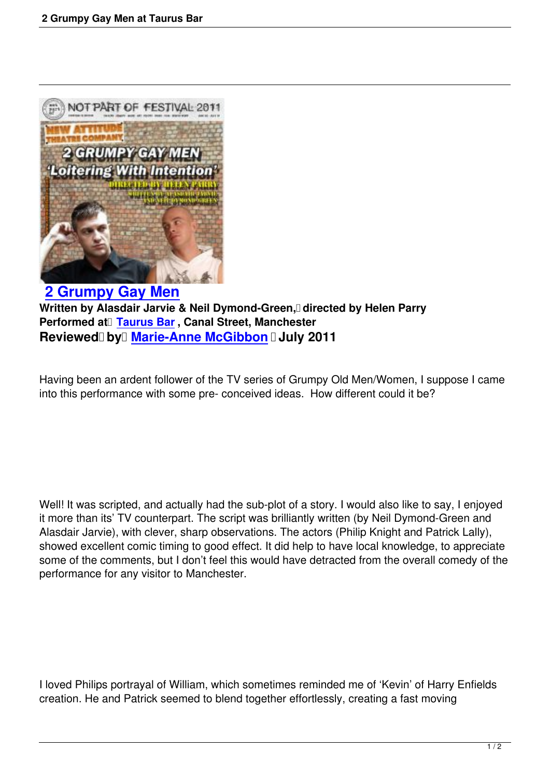

## **2 Grumpy Gay Men**

Written by Alasdair Jarvie & Neil Dymond-Green,<sup>[]</sup> directed by Helen Parry **Performed at Taurus Bar, Canal Street, Manchester [Reviewed by Marie-An](2-grumpy-gay-men-taurus-bar.html)ne McGibbon I July 2011** 

Having been an ar[dent follower of the TV series](writers.html#marie-anne-mcgibbon) of Grumpy Old Men/Women, I suppose I came into this performance with some pre- conceived ideas. How different could it be?

Well! It was scripted, and actually had the sub-plot of a story. I would also like to say, I enjoyed it more than its' TV counterpart. The script was brilliantly written (by Neil Dymond-Green and Alasdair Jarvie), with clever, sharp observations. The actors (Philip Knight and Patrick Lally), showed excellent comic timing to good effect. It did help to have local knowledge, to appreciate some of the comments, but I don't feel this would have detracted from the overall comedy of the performance for any visitor to Manchester.

I loved Philips portrayal of William, which sometimes reminded me of 'Kevin' of Harry Enfields creation. He and Patrick seemed to blend together effortlessly, creating a fast moving